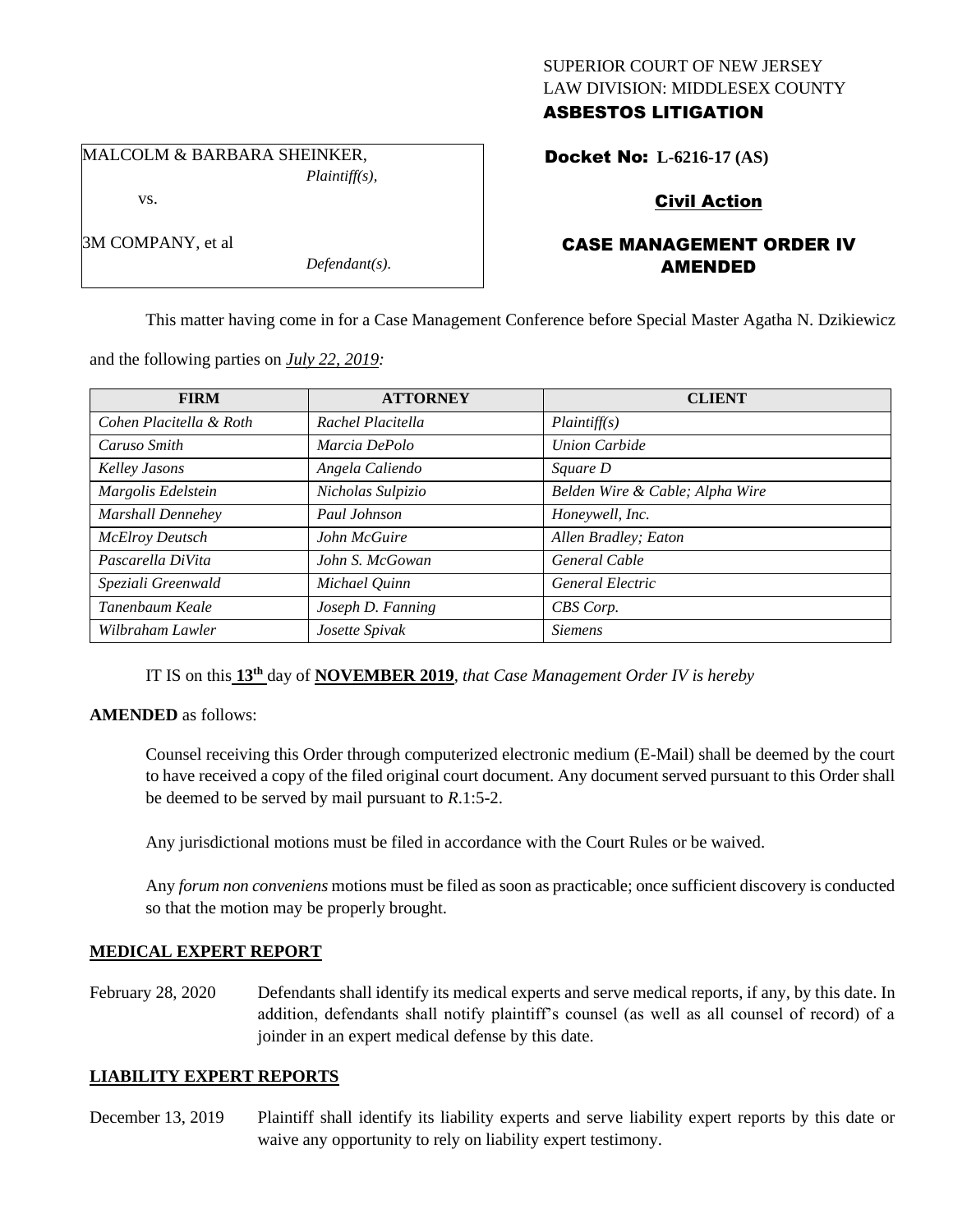#### SUPERIOR COURT OF NEW JERSEY LAW DIVISION: MIDDLESEX COUNTY ASBESTOS LITIGATION

MALCOLM & BARBARA SHEINKER, *Plaintiff(s),*

vs.

3M COMPANY, et al

*Defendant(s).*

# Docket No: **L-6216-17 (AS)**

# Civil Action

# CASE MANAGEMENT ORDER IV AMENDED

This matter having come in for a Case Management Conference before Special Master Agatha N. Dzikiewicz

and the following parties on *July 22, 2019:*

| <b>FIRM</b>             | <b>ATTORNEY</b>   | <b>CLIENT</b>                   |
|-------------------------|-------------------|---------------------------------|
| Cohen Placitella & Roth | Rachel Placitella | Plaintiff(s)                    |
| Caruso Smith            | Marcia DePolo     | <b>Union Carbide</b>            |
| Kelley Jasons           | Angela Caliendo   | <i>Square D</i>                 |
| Margolis Edelstein      | Nicholas Sulpizio | Belden Wire & Cable; Alpha Wire |
| Marshall Dennehey       | Paul Johnson      | Honeywell, Inc.                 |
| <b>McElroy Deutsch</b>  | John McGuire      | Allen Bradley; Eaton            |
| Pascarella DiVita       | John S. McGowan   | <b>General Cable</b>            |
| Speziali Greenwald      | Michael Quinn     | <b>General Electric</b>         |
| Tanenbaum Keale         | Joseph D. Fanning | CBS Corp.                       |
| Wilbraham Lawler        | Josette Spivak    | <b>Siemens</b>                  |

IT IS on this **13th** day of **NOVEMBER 2019**, *that Case Management Order IV is hereby*

### **AMENDED** as follows:

Counsel receiving this Order through computerized electronic medium (E-Mail) shall be deemed by the court to have received a copy of the filed original court document. Any document served pursuant to this Order shall be deemed to be served by mail pursuant to *R*.1:5-2.

Any jurisdictional motions must be filed in accordance with the Court Rules or be waived.

Any *forum non conveniens* motions must be filed as soon as practicable; once sufficient discovery is conducted so that the motion may be properly brought.

### **MEDICAL EXPERT REPORT**

February 28, 2020 Defendants shall identify its medical experts and serve medical reports, if any, by this date. In addition, defendants shall notify plaintiff's counsel (as well as all counsel of record) of a joinder in an expert medical defense by this date.

### **LIABILITY EXPERT REPORTS**

December 13, 2019 Plaintiff shall identify its liability experts and serve liability expert reports by this date or waive any opportunity to rely on liability expert testimony.